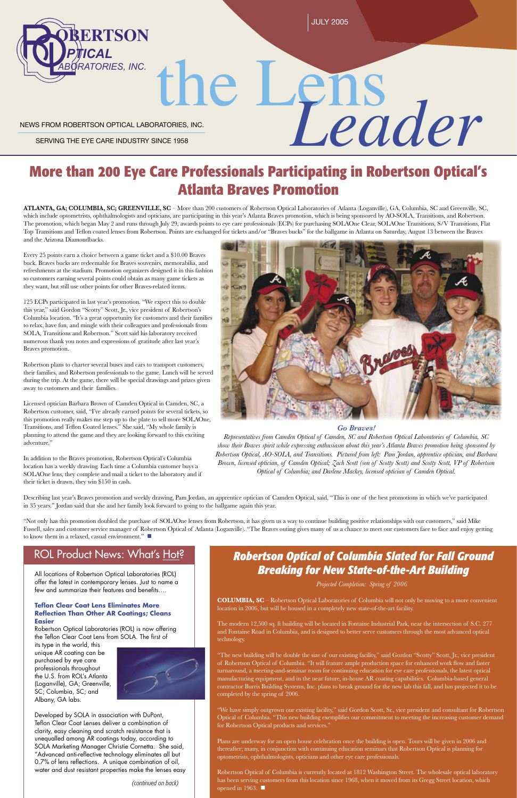# NEWS FROM ROBERTSON OPTICAL LABORATORIES, INC. the Lens *Leader*

SERVING THE EYE CARE INDUSTRY SINCE 1958

# **More than 200 Eye Care Professionals Participating in Robertson Optical's Atlanta Braves Promotion**

**ATLANTA, GA; COLUMBIA, SC; GREENVILLE, SC** – More than 200 customers of Robertson Optical Laboratories of Atlanta (Loganville), GA, Columbia, SC and Greenville, SC, which include optometrists, ophthalmologists and opticians, are participating in this year's Atlanta Braves promotion, which is being sponsored by AO-SOLA, Transitions, and Robertson. The promotion, which began May 2 and runs through July 29, awards points to eye care professionals (ECPs) for purchasing SOLAOne Clear, SOLAOne Transitions, S/V Transitions, Flat Top Transitions and Teflon coated lenses from Robertson. Points are exchanged for tickets and/or "Braves bucks" for the ballgame in Atlanta on Saturday, August 13 between the Braves and the Arizona Diamondbacks.

Every 25 points earn a choice between a game ticket and a \$10.00 Braves buck. Braves bucks are redeemable for Braves souvenirs, memorabilia, and refreshments at the stadium. Promotion organizers designed it in this fashion so customers earning several points could obtain as many game tickets as they want, but still use other points for other Braves-related items.

"Not only has this promotion doubled the purchase of SOLAOne lenses from Robertson, it has given us a way to continue building positive relationships with our customers," said Mike Fussell, sales and customer service manager of Robertson Optical of Atlanta (Loganville). "The Braves outing gives many of us a chance to meet our customers face to face and enjoy getting to know them in a relaxed, casual environment."

# ROL Product News: What's Hot?

125 ECPs participated in last year's promotion. "We expect this to double this year," said Gordon "Scotty" Scott, Jr., vice president of Robertson's Columbia location. "It's a great opportunity for customers and their families to relax, have fun, and mingle with their colleagues and professionals from SOLA, Transitions and Robertson." Scott said his laboratory received numerous thank you notes and expressions of gratitude after last year's Braves promotion.

Robertson plans to charter several buses and cars to transport customers, their families, and Robertson professionals to the game. Lunch will be served during the trip. At the game, there will be special drawings and prizes given away to customers and their families.

Licensed optician Barbara Brown of Camden Optical in Camden, SC, a Robertson customer, said, "I've already earned points for several tickets, so this promotion really makes me step up to the plate to sell more SOLAOne, Transitions, and Teflon Coated lenses." She said, "My whole family is planning to attend the game and they are looking forward to this exciting adventure."

> Robertson Optical of Columbia is currently located at 1812 Washington Street. The wholesale optical laboratory has been serving customers from this location since 1968, when it moved from its Gregg Street location, which opened in 1963.  $\blacksquare$

In addition to the Braves promotion, Robertson Optical's Columbia location has a weekly drawing. Each time a Columbia customer buys a SOLAOne lens, they complete and mail a ticket to the laboratory and if their ticket is drawn, they win \$150 in cash.



### **Teflon Clear Coat Lens Eliminates More Reflection Than Other AR Coatings; Cleans Easier**

Robertson Optical Laboratories (ROL) is now offering the Teflon Clear Coat Lens from SOLA. The first of

Describing last year's Braves promotion and weekly drawing, Pam Jordan, an apprentice optician of Camden Optical, said, "This is one of the best promotions in which we've participated in 35 years." Jordan said that she and her family look forward to going to the ballgame again this year.

*Projected Completion: Spring of 2006*

few and summarize their features and benefits....

**COLUMBIA, SC** – Robertson Optical Laboratories of Columbia will not only be moving to a more convenient location in 2006, but will be housed in a completely new state-of-the-art facility.

The modern 12,500 sq. ft building will be located in Fontaine Industrial Park, near the intersection of S.C. 277 and Fontaine Road in Columbia, and is designed to better serve customers through the most advanced optical technology.

"The new building will be double the size of our existing facility," said Gordon "Scotty" Scott, Jr., vice president of Robertson Optical of Columbia. "It will feature ample production space for enhanced work flow and faster turnaround, a meeting-and-seminar room for continuing education for eye care professionals, the latest optical manufacturing equipment, and in the near future, in-house AR coating capabilities. Columbia-based general contractor Burris Building Systems, Inc. plans to break ground for the new lab this fall, and has projected it to be completed by the spring of 2006.

"We have simply outgrown our existing facility," said Gordon Scott, Sr., vice president and consultant for Robertson Optical of Columbia. "This new building exemplifies our commitment to meeting the increasing customer demand for Robertson Optical products and services."

Plans are underway for an open house celebration once the building is open. Tours will be given in 2006 and thereafter; many, in conjunction with continuing education seminars that Robertson Optical is planning for optometrists, ophthalmologists, opticians and other eye care professionals.

All locations of Robertson Optical Laboratories (ROL) offer the latest in contemporary lenses. Just to name a

its type in the world, this unique AR coating can be purchased by eye care professionals throughout the U.S. from ROL's Atlanta (Loganville), GA; Greenville, SC; Columbia, SC; and Albany, GA labs.



Developed by SOLA in association with DuPont, Teflon Clear Coat Lenses deliver a combination of clarity, easy cleaning and scratch resistance that is unequalled among AR coatings today, according to SOLA Marketing Manager Christie Cornetta. She said, "Advanced anti-reflective technology eliminates all but 0.7% of lens reflections. A unique combination of oil, water and dust resistant properties make the lenses easy

*(continued on back)*

# *Go Braves!*

*Representatives from Camden Optical of Camden, SC and Robertson Optical Laboratories of Columbia, SC show their Braves spirit while expressing enthusiasm about this year's Atlanta Braves promotion being sponsored by Robertson Optical, AO-SOLA, and Transitions. Pictured from left: Pam Jordan, apprentice optician, and Barbara Brown, licensed optician, of Camden Optical; Zach Scott (son of Scotty Scott) and Scotty Scott, VP of Robertson Optical of Columbia; and Darlene Mackey, licensed optician of Camden Optical.*

*Robertson Optical of Columbia Slated for Fall Ground Breaking for New State-of-the-Art Building*